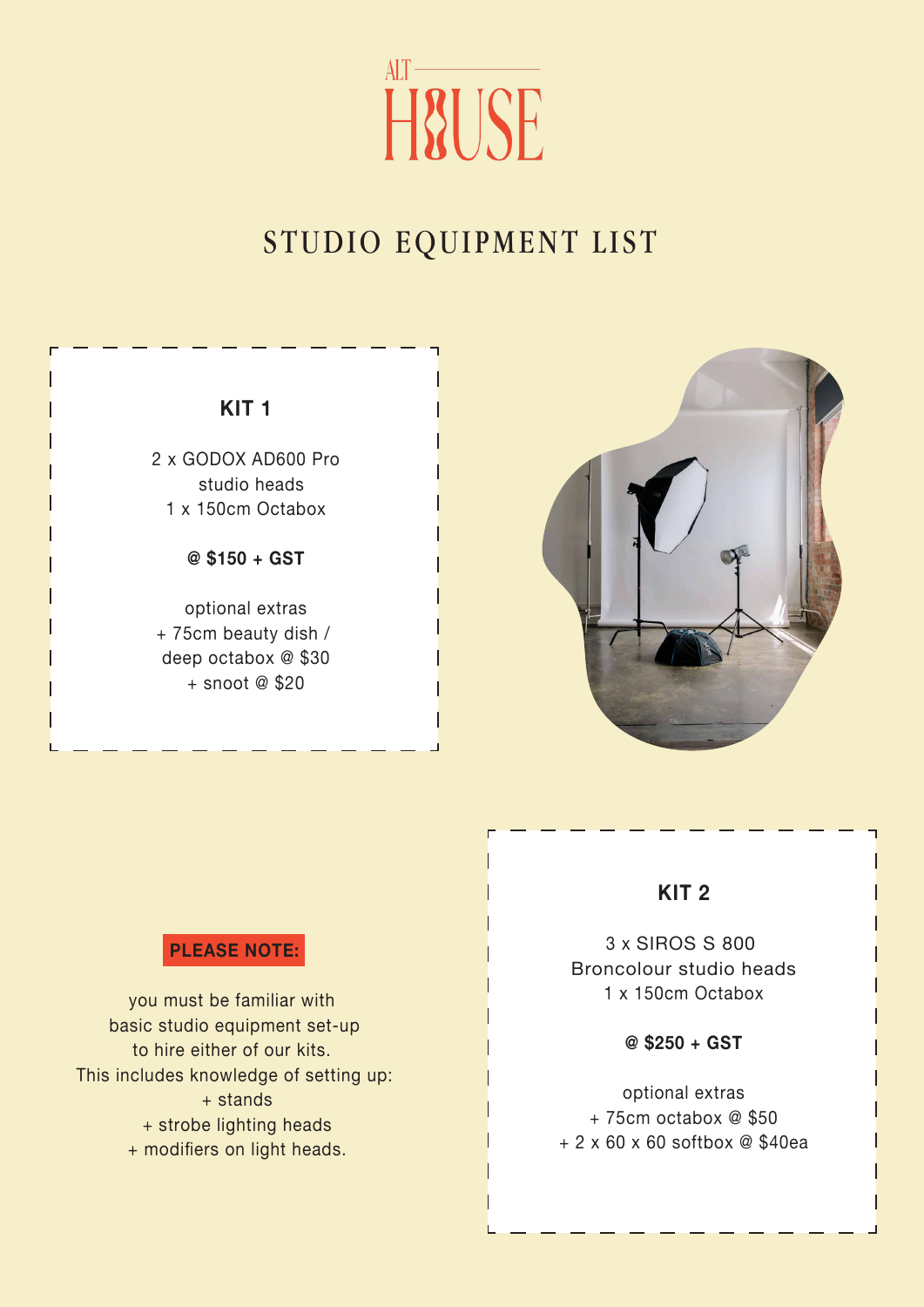# $AIT$  — **H&USE**

## STUDIO EQUIPMENT LIST

**KIT 1**

2 x GODOX AD600 Pro studio heads 1 x 150cm Octabox

**@ \$150 + GST**

optional extras + 75cm beauty dish / deep octabox @ \$30 + snoot @ \$20



### **KIT 2**

3 x SIROS S 800 Broncolour studio heads 1 x 150cm Octabox

**@ \$250 + GST**

optional extras + 75cm octabox @ \$50 + 2 x 60 x 60 softbox @ \$40ea

#### **PLEASE NOTE:**

you must be familiar with basic studio equipment set-up to hire either of our kits. This includes knowledge of setting up: + stands + strobe lighting heads + modifiers on light heads.